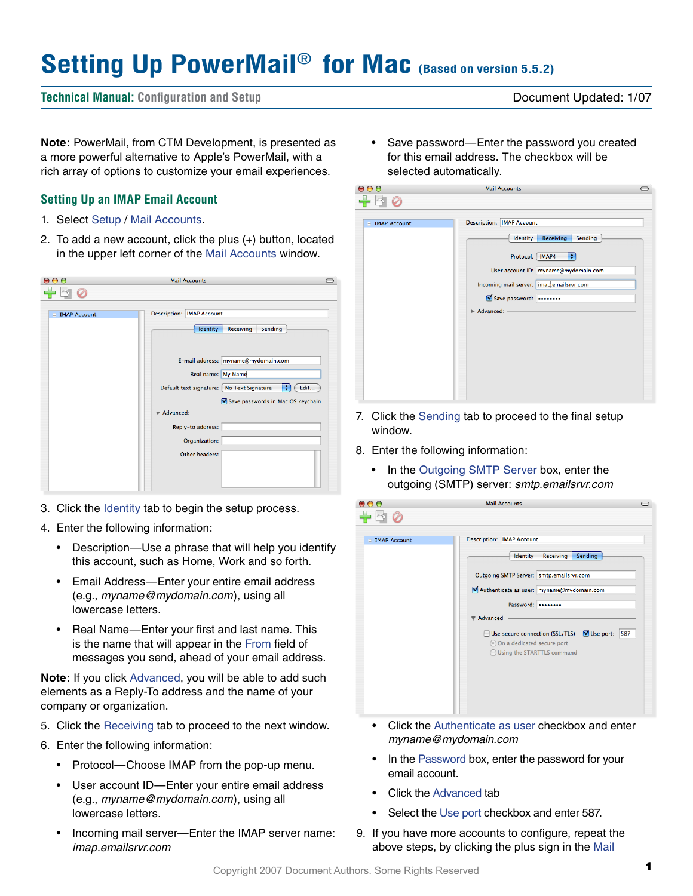# **Setting Up PowerMail**® **for Mac (Based on version 5.5.2)**

## **Technical Manual: Configuration and Setup** Document Updated: 1/07

**Note:** PowerMail, from CTM Development, is presented as a more powerful alternative to Apple's PowerMail, with a rich array of options to customize your email experiences.

## **Setting Up an IMAP Email Account**

- 1. Select Setup / Mail Accounts.
- 2. To add a new account, click the plus (+) button, located in the upper left corner of the Mail Accounts window.

| $\mathbf{\Theta}$ $\mathbf{\Theta}$ | <b>Mail Accounts</b>                                                 |
|-------------------------------------|----------------------------------------------------------------------|
|                                     |                                                                      |
| <b>■ IMAP Account</b>               | <b>Description: IMAP Account</b><br>Receiving<br>Identity<br>Sending |
|                                     | E-mail address: myname@mydomain.com                                  |
|                                     | Real name: My Name                                                   |
|                                     | ÷<br>Default text signature: No Text Signature<br>Edit               |
|                                     | Save passwords in Mac OS keychain<br>Advanced:                       |
|                                     |                                                                      |
|                                     | Reply-to address:<br>Organization:                                   |
|                                     | Other headers:                                                       |
|                                     |                                                                      |
|                                     |                                                                      |

- 3. Click the Identity tab to begin the setup process.
- 4. Enter the following information:
	- Description—Use a phrase that will help you identify this account, such as Home, Work and so forth.
	- Email Address—Enter your entire email address (e.g., *myname@mydomain.com*), using all lowercase letters.
	- Real Name—Enter your first and last name. This is the name that will appear in the From field of messages you send, ahead of your email address.

**Note:** If you click Advanced, you will be able to add such elements as a Reply-To address and the name of your company or organization.

- 5. Click the Receiving tab to proceed to the next window.
- 6. Enter the following information:
	- Protocol—Choose IMAP from the pop-up menu.
	- User account ID—Enter your entire email address (e.g., *myname@mydomain.com*), using all lowercase letters.
	- Incoming mail server—Enter the IMAP server name: *imap.emailsrvr.com*

• Save password—Enter the password you created for this email address. The checkbox will be selected automatically.

| $\bullet$ $\bullet$             | <b>Mail Accounts</b>                                                                                                                                                                                                     |  |
|---------------------------------|--------------------------------------------------------------------------------------------------------------------------------------------------------------------------------------------------------------------------|--|
|                                 |                                                                                                                                                                                                                          |  |
| <b>IMAP Account</b><br>$\equiv$ | <b>Description: IMAP Account</b><br><b>Receiving</b><br>Sending<br>Identity<br>÷<br>Protocol:   IMAP4<br>User account ID: myname@mydomain.com<br>Incoming mail server: imap.emailsrvr.com<br>Save password:<br>Advanced: |  |

- 7. Click the Sending tab to proceed to the final setup window.
- 8. Enter the following information:
	- In the Outgoing SMTP Server box, enter the outgoing (SMTP) server: *smtp.emailsrvr.com*

| $\bullet$ $\bullet$   | <b>Mail Accounts</b>                                                                                                                         | $\bigcirc$ |
|-----------------------|----------------------------------------------------------------------------------------------------------------------------------------------|------------|
|                       |                                                                                                                                              |            |
| $\equiv$ IMAP Account | <b>Description: IMAP Account</b>                                                                                                             |            |
|                       | Identity<br>Receiving<br>Sending                                                                                                             |            |
|                       | Outgoing SMTP Server: smtp.emailsrvr.com                                                                                                     |            |
|                       | Authenticate as user: myname@mydomain.com                                                                                                    |            |
|                       | Password:                                                                                                                                    |            |
|                       | Advanced:                                                                                                                                    |            |
|                       | Use secure connection (SSL/TLS) V Use port:<br>587<br>$\overline{\phantom{0}}$<br>On a dedicated secure port<br>◯ Using the STARTTLS command |            |
|                       |                                                                                                                                              |            |
|                       |                                                                                                                                              |            |
|                       |                                                                                                                                              |            |
|                       | Click the Authonticate as user checkhov and enter                                                                                            |            |

- Glick the Authenticate as user checkbox and *myname@mydomain.com*
- In the Password box, enter the password for your email account.
- Click the Advanced tab
- Select the Use port checkbox and enter 587.
- 9. If you have more accounts to configure, repeat the above steps, by clicking the plus sign in the Mail